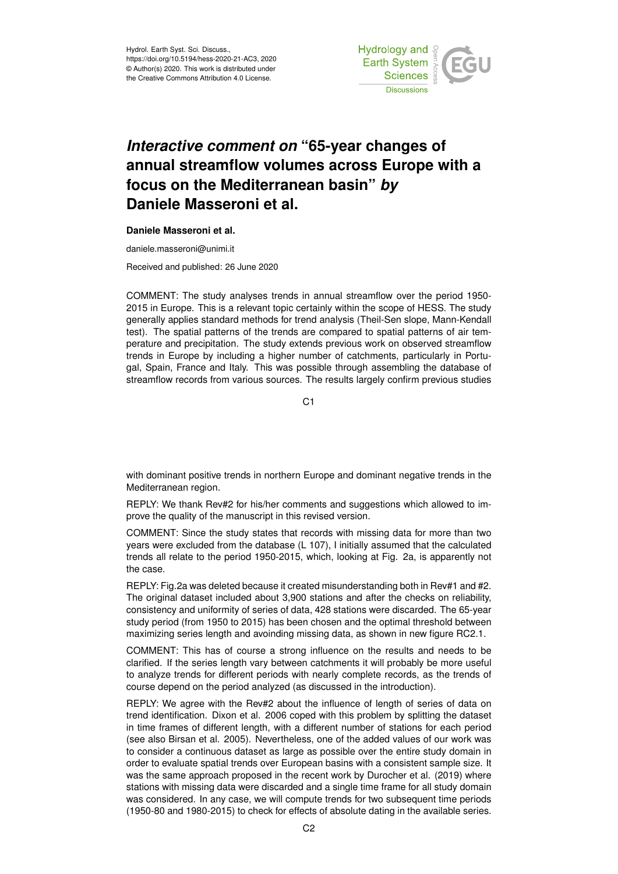

## *Interactive comment on* **"65-year changes of annual streamflow volumes across Europe with a focus on the Mediterranean basin"** *by* **Daniele Masseroni et al.**

## **Daniele Masseroni et al.**

daniele.masseroni@unimi.it

Received and published: 26 June 2020

COMMENT: The study analyses trends in annual streamflow over the period 1950- 2015 in Europe. This is a relevant topic certainly within the scope of HESS. The study generally applies standard methods for trend analysis (Theil-Sen slope, Mann-Kendall test). The spatial patterns of the trends are compared to spatial patterns of air temperature and precipitation. The study extends previous work on observed streamflow trends in Europe by including a higher number of catchments, particularly in Portugal, Spain, France and Italy. This was possible through assembling the database of streamflow records from various sources. The results largely confirm previous studies

C1

with dominant positive trends in northern Europe and dominant negative trends in the Mediterranean region.

REPLY: We thank Rev#2 for his/her comments and suggestions which allowed to improve the quality of the manuscript in this revised version.

COMMENT: Since the study states that records with missing data for more than two years were excluded from the database (L 107), I initially assumed that the calculated trends all relate to the period 1950-2015, which, looking at Fig. 2a, is apparently not the case.

REPLY: Fig.2a was deleted because it created misunderstanding both in Rev#1 and #2. The original dataset included about 3,900 stations and after the checks on reliability, consistency and uniformity of series of data, 428 stations were discarded. The 65-year study period (from 1950 to 2015) has been chosen and the optimal threshold between maximizing series length and avoinding missing data, as shown in new figure RC2.1.

COMMENT: This has of course a strong influence on the results and needs to be clarified. If the series length vary between catchments it will probably be more useful to analyze trends for different periods with nearly complete records, as the trends of course depend on the period analyzed (as discussed in the introduction).

REPLY: We agree with the Rev#2 about the influence of length of series of data on trend identification. Dixon et al. 2006 coped with this problem by splitting the dataset in time frames of different length, with a different number of stations for each period (see also Birsan et al. 2005). Nevertheless, one of the added values of our work was to consider a continuous dataset as large as possible over the entire study domain in order to evaluate spatial trends over European basins with a consistent sample size. It was the same approach proposed in the recent work by Durocher et al. (2019) where stations with missing data were discarded and a single time frame for all study domain was considered. In any case, we will compute trends for two subsequent time periods (1950-80 and 1980-2015) to check for effects of absolute dating in the available series.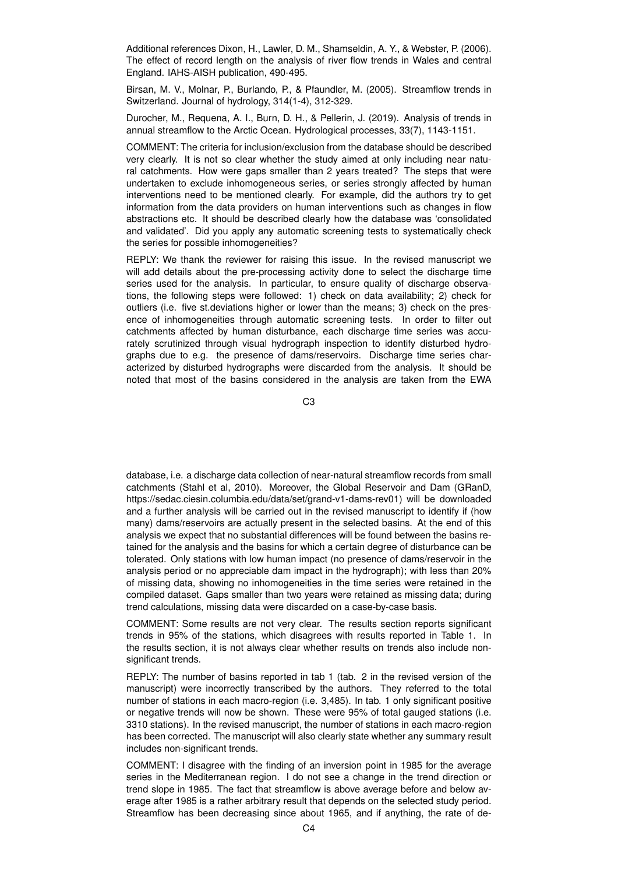Additional references Dixon, H., Lawler, D. M., Shamseldin, A. Y., & Webster, P. (2006). The effect of record length on the analysis of river flow trends in Wales and central England. IAHS-AISH publication, 490-495.

Birsan, M. V., Molnar, P., Burlando, P., & Pfaundler, M. (2005). Streamflow trends in Switzerland. Journal of hydrology, 314(1-4), 312-329.

Durocher, M., Requena, A. I., Burn, D. H., & Pellerin, J. (2019). Analysis of trends in annual streamflow to the Arctic Ocean. Hydrological processes, 33(7), 1143-1151.

COMMENT: The criteria for inclusion/exclusion from the database should be described very clearly. It is not so clear whether the study aimed at only including near natural catchments. How were gaps smaller than 2 years treated? The steps that were undertaken to exclude inhomogeneous series, or series strongly affected by human interventions need to be mentioned clearly. For example, did the authors try to get information from the data providers on human interventions such as changes in flow abstractions etc. It should be described clearly how the database was 'consolidated and validated'. Did you apply any automatic screening tests to systematically check the series for possible inhomogeneities?

REPLY: We thank the reviewer for raising this issue. In the revised manuscript we will add details about the pre-processing activity done to select the discharge time series used for the analysis. In particular, to ensure quality of discharge observations, the following steps were followed: 1) check on data availability; 2) check for outliers (i.e. five st.deviations higher or lower than the means; 3) check on the presence of inhomogeneities through automatic screening tests. In order to filter out catchments affected by human disturbance, each discharge time series was accurately scrutinized through visual hydrograph inspection to identify disturbed hydrographs due to e.g. the presence of dams/reservoirs. Discharge time series characterized by disturbed hydrographs were discarded from the analysis. It should be noted that most of the basins considered in the analysis are taken from the EWA

C3

database, i.e. a discharge data collection of near-natural streamflow records from small catchments (Stahl et al, 2010). Moreover, the Global Reservoir and Dam (GRanD, https://sedac.ciesin.columbia.edu/data/set/grand-v1-dams-rev01) will be downloaded and a further analysis will be carried out in the revised manuscript to identify if (how many) dams/reservoirs are actually present in the selected basins. At the end of this analysis we expect that no substantial differences will be found between the basins retained for the analysis and the basins for which a certain degree of disturbance can be tolerated. Only stations with low human impact (no presence of dams/reservoir in the analysis period or no appreciable dam impact in the hydrograph); with less than 20% of missing data, showing no inhomogeneities in the time series were retained in the compiled dataset. Gaps smaller than two years were retained as missing data; during trend calculations, missing data were discarded on a case-by-case basis.

COMMENT: Some results are not very clear. The results section reports significant trends in 95% of the stations, which disagrees with results reported in Table 1. In the results section, it is not always clear whether results on trends also include nonsignificant trends.

REPLY: The number of basins reported in tab 1 (tab. 2 in the revised version of the manuscript) were incorrectly transcribed by the authors. They referred to the total number of stations in each macro-region (i.e. 3,485). In tab. 1 only significant positive or negative trends will now be shown. These were 95% of total gauged stations (i.e. 3310 stations). In the revised manuscript, the number of stations in each macro-region has been corrected. The manuscript will also clearly state whether any summary result includes non-significant trends.

COMMENT: I disagree with the finding of an inversion point in 1985 for the average series in the Mediterranean region. I do not see a change in the trend direction or trend slope in 1985. The fact that streamflow is above average before and below average after 1985 is a rather arbitrary result that depends on the selected study period. Streamflow has been decreasing since about 1965, and if anything, the rate of de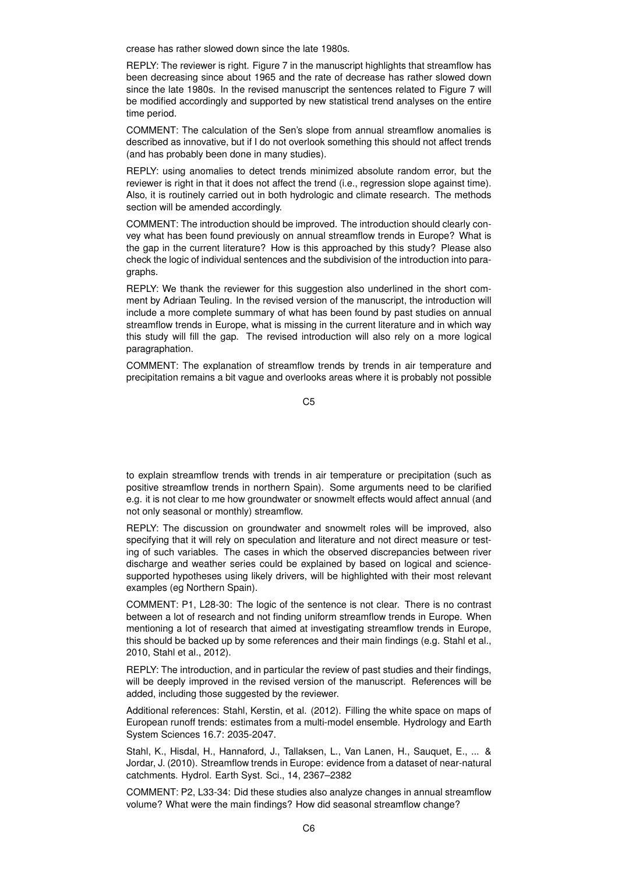crease has rather slowed down since the late 1980s.

REPLY: The reviewer is right. Figure 7 in the manuscript highlights that streamflow has been decreasing since about 1965 and the rate of decrease has rather slowed down since the late 1980s. In the revised manuscript the sentences related to Figure 7 will be modified accordingly and supported by new statistical trend analyses on the entire time period.

COMMENT: The calculation of the Sen's slope from annual streamflow anomalies is described as innovative, but if I do not overlook something this should not affect trends (and has probably been done in many studies).

REPLY: using anomalies to detect trends minimized absolute random error, but the reviewer is right in that it does not affect the trend (i.e., regression slope against time). Also, it is routinely carried out in both hydrologic and climate research. The methods section will be amended accordingly.

COMMENT: The introduction should be improved. The introduction should clearly convey what has been found previously on annual streamflow trends in Europe? What is the gap in the current literature? How is this approached by this study? Please also check the logic of individual sentences and the subdivision of the introduction into paragraphs.

REPLY: We thank the reviewer for this suggestion also underlined in the short comment by Adriaan Teuling. In the revised version of the manuscript, the introduction will include a more complete summary of what has been found by past studies on annual streamflow trends in Europe, what is missing in the current literature and in which way this study will fill the gap. The revised introduction will also rely on a more logical paragraphation.

COMMENT: The explanation of streamflow trends by trends in air temperature and precipitation remains a bit vague and overlooks areas where it is probably not possible

C5

to explain streamflow trends with trends in air temperature or precipitation (such as positive streamflow trends in northern Spain). Some arguments need to be clarified e.g. it is not clear to me how groundwater or snowmelt effects would affect annual (and not only seasonal or monthly) streamflow.

REPLY: The discussion on groundwater and snowmelt roles will be improved, also specifying that it will rely on speculation and literature and not direct measure or testing of such variables. The cases in which the observed discrepancies between river discharge and weather series could be explained by based on logical and sciencesupported hypotheses using likely drivers, will be highlighted with their most relevant examples (eg Northern Spain).

COMMENT: P1, L28-30: The logic of the sentence is not clear. There is no contrast between a lot of research and not finding uniform streamflow trends in Europe. When mentioning a lot of research that aimed at investigating streamflow trends in Europe, this should be backed up by some references and their main findings (e.g. Stahl et al., 2010, Stahl et al., 2012).

REPLY: The introduction, and in particular the review of past studies and their findings, will be deeply improved in the revised version of the manuscript. References will be added, including those suggested by the reviewer.

Additional references: Stahl, Kerstin, et al. (2012). Filling the white space on maps of European runoff trends: estimates from a multi-model ensemble. Hydrology and Earth System Sciences 16.7: 2035-2047.

Stahl, K., Hisdal, H., Hannaford, J., Tallaksen, L., Van Lanen, H., Sauquet, E., ... & Jordar, J. (2010). Streamflow trends in Europe: evidence from a dataset of near-natural catchments. Hydrol. Earth Syst. Sci., 14, 2367–2382

COMMENT: P2, L33-34: Did these studies also analyze changes in annual streamflow volume? What were the main findings? How did seasonal streamflow change?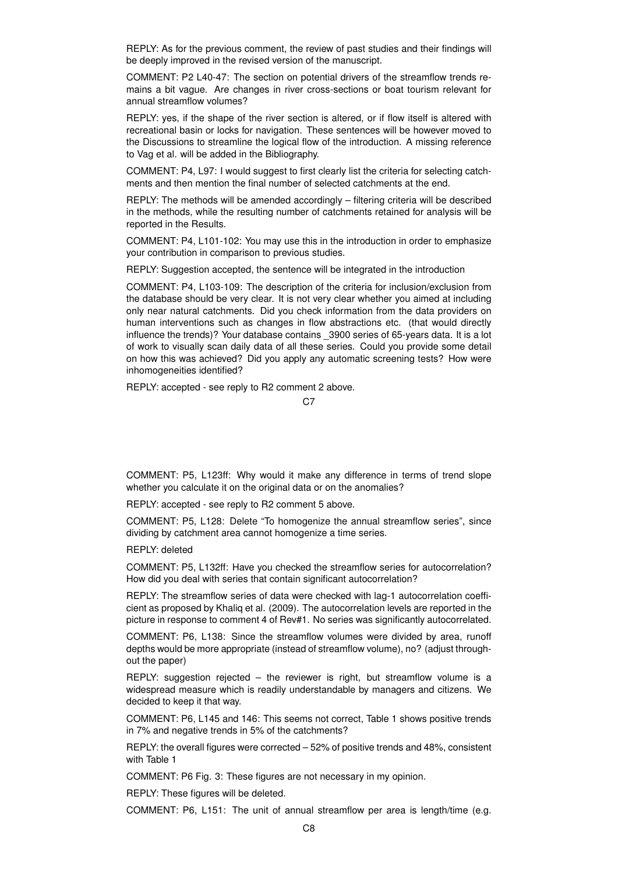REPLY: As for the previous comment, the review of past studies and their findings will be deeply improved in the revised version of the manuscript.

COMMENT: P2 L40-47: The section on potential drivers of the streamflow trends remains a bit vague. Are changes in river cross-sections or boat tourism relevant for annual streamflow volumes?

REPLY: yes, if the shape of the river section is altered, or if flow itself is altered with recreational basin or locks for navigation. These sentences will be however moved to the Discussions to streamline the logical flow of the introduction. A missing reference to Vag et al. will be added in the Bibliography.

COMMENT: P4, L97: I would suggest to first clearly list the criteria for selecting catchments and then mention the final number of selected catchments at the end.

REPLY: The methods will be amended accordingly – filtering criteria will be described in the methods, while the resulting number of catchments retained for analysis will be reported in the Results.

COMMENT: P4, L101-102: You may use this in the introduction in order to emphasize your contribution in comparison to previous studies.

REPLY: Suggestion accepted, the sentence will be integrated in the introduction

COMMENT: P4, L103-109: The description of the criteria for inclusion/exclusion from the database should be very clear. It is not very clear whether you aimed at including only near natural catchments. Did you check information from the data providers on human interventions such as changes in flow abstractions etc. (that would directly influence the trends)? Your database contains \_3900 series of 65-years data. It is a lot of work to visually scan daily data of all these series. Could you provide some detail on how this was achieved? Did you apply any automatic screening tests? How were inhomogeneities identified?

REPLY: accepted - see reply to R2 comment 2 above.

COMMENT: P5, L123ff: Why would it make any difference in terms of trend slope whether you calculate it on the original data or on the anomalies?

REPLY: accepted - see reply to R2 comment 5 above.

COMMENT: P5, L128: Delete "To homogenize the annual streamflow series", since dividing by catchment area cannot homogenize a time series.

REPLY: deleted

COMMENT: P5, L132ff: Have you checked the streamflow series for autocorrelation? How did you deal with series that contain significant autocorrelation?

REPLY: The streamflow series of data were checked with lag-1 autocorrelation coefficient as proposed by Khaliq et al. (2009). The autocorrelation levels are reported in the picture in response to comment 4 of Rev#1. No series was significantly autocorrelated.

COMMENT: P6, L138: Since the streamflow volumes were divided by area, runoff depths would be more appropriate (instead of streamflow volume), no? (adjust throughout the paper)

REPLY: suggestion rejected – the reviewer is right, but streamflow volume is a widespread measure which is readily understandable by managers and citizens. We decided to keep it that way.

COMMENT: P6, L145 and 146: This seems not correct, Table 1 shows positive trends in 7% and negative trends in 5% of the catchments?

REPLY: the overall figures were corrected – 52% of positive trends and 48%, consistent with Table 1

COMMENT: P6 Fig. 3: These figures are not necessary in my opinion.

REPLY: These figures will be deleted.

COMMENT: P6, L151: The unit of annual streamflow per area is length/time (e.g.

C<sub>7</sub>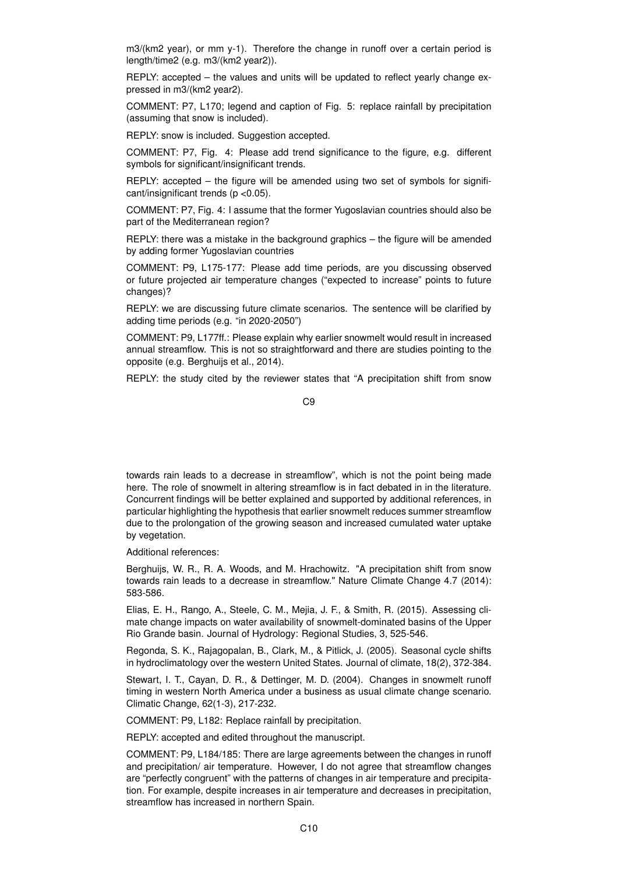m3/(km2 year), or mm y-1). Therefore the change in runoff over a certain period is length/time2 (e.g. m3/(km2 year2)).

REPLY: accepted – the values and units will be updated to reflect yearly change expressed in m3/(km2 year2).

COMMENT: P7, L170; legend and caption of Fig. 5: replace rainfall by precipitation (assuming that snow is included).

REPLY: snow is included. Suggestion accepted.

COMMENT: P7, Fig. 4: Please add trend significance to the figure, e.g. different symbols for significant/insignificant trends.

REPLY: accepted – the figure will be amended using two set of symbols for significant/insignificant trends (p <0.05).

COMMENT: P7, Fig. 4: I assume that the former Yugoslavian countries should also be part of the Mediterranean region?

REPLY: there was a mistake in the background graphics – the figure will be amended by adding former Yugoslavian countries

COMMENT: P9, L175-177: Please add time periods, are you discussing observed or future projected air temperature changes ("expected to increase" points to future changes)?

REPLY: we are discussing future climate scenarios. The sentence will be clarified by adding time periods (e.g. "in 2020-2050")

COMMENT: P9, L177ff.: Please explain why earlier snowmelt would result in increased annual streamflow. This is not so straightforward and there are studies pointing to the opposite (e.g. Berghuijs et al., 2014).

REPLY: the study cited by the reviewer states that "A precipitation shift from snow

C9

towards rain leads to a decrease in streamflow", which is not the point being made here. The role of snowmelt in altering streamflow is in fact debated in in the literature. Concurrent findings will be better explained and supported by additional references, in particular highlighting the hypothesis that earlier snowmelt reduces summer streamflow due to the prolongation of the growing season and increased cumulated water uptake by vegetation.

Additional references:

Berghuijs, W. R., R. A. Woods, and M. Hrachowitz. "A precipitation shift from snow towards rain leads to a decrease in streamflow." Nature Climate Change 4.7 (2014): 583-586.

Elias, E. H., Rango, A., Steele, C. M., Mejia, J. F., & Smith, R. (2015). Assessing climate change impacts on water availability of snowmelt-dominated basins of the Upper Rio Grande basin. Journal of Hydrology: Regional Studies, 3, 525-546.

Regonda, S. K., Rajagopalan, B., Clark, M., & Pitlick, J. (2005). Seasonal cycle shifts in hydroclimatology over the western United States. Journal of climate, 18(2), 372-384.

Stewart, I. T., Cayan, D. R., & Dettinger, M. D. (2004). Changes in snowmelt runoff timing in western North America under a business as usual climate change scenario. Climatic Change, 62(1-3), 217-232.

COMMENT: P9, L182: Replace rainfall by precipitation.

REPLY: accepted and edited throughout the manuscript.

COMMENT: P9, L184/185: There are large agreements between the changes in runoff and precipitation/ air temperature. However, I do not agree that streamflow changes are "perfectly congruent" with the patterns of changes in air temperature and precipitation. For example, despite increases in air temperature and decreases in precipitation, streamflow has increased in northern Spain.